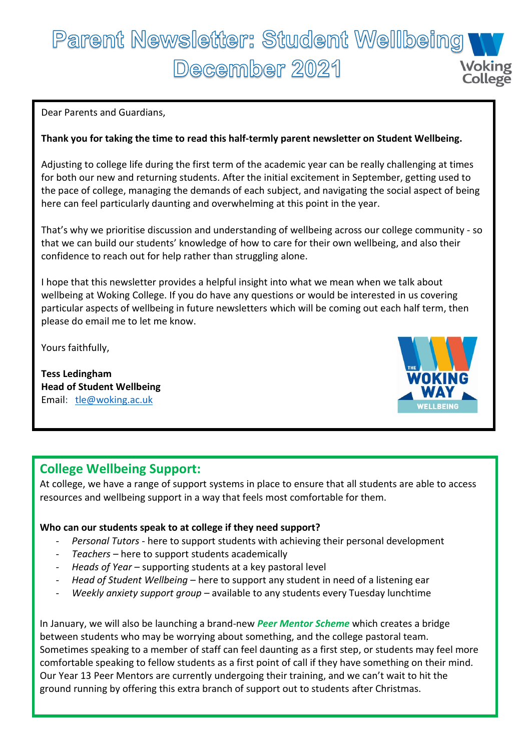# Parent Newsletter: Student Wellbeing December 2021 **Woking**

Dear Parents and Guardians,

#### **Thank you for taking the time to read this half-termly parent newsletter on Student Wellbeing.**

Adjusting to college life during the first term of the academic year can be really challenging at times for both our new and returning students. After the initial excitement in September, getting used to the pace of college, managing the demands of each subject, and navigating the social aspect of being here can feel particularly daunting and overwhelming at this point in the year.

That's why we prioritise discussion and understanding of wellbeing across our college community - so that we can build our students' knowledge of how to care for their own wellbeing, and also their confidence to reach out for help rather than struggling alone.

I hope that this newsletter provides a helpful insight into what we mean when we talk about wellbeing at Woking College. If you do have any questions or would be interested in us covering particular aspects of wellbeing in future newsletters which will be coming out each half term, then please do email me to let me know.

Yours faithfully,

**Tess Ledingham Head of Student Wellbeing** Email: [tle@woking.ac.uk](mailto:tle@woking.ac.uk)



## **College Wellbeing Support:**

At college, we have a range of support systems in place to ensure that all students are able to access resources and wellbeing support in a way that feels most comfortable for them.

#### **Who can our students speak to at college if they need support?**

- *Personal Tutors* here to support students with achieving their personal development
- Teachers here to support students academically
- *Heads of Year* supporting students at a key pastoral level
- Head of Student Wellbeing here to support any student in need of a listening ear
- *Weekly anxiety support group –* available to any students every Tuesday lunchtime

In January, we will also be launching a brand-new *Peer Mentor Scheme* which creates a bridge between students who may be worrying about something, and the college pastoral team. Sometimes speaking to a member of staff can feel daunting as a first step, or students may feel more comfortable speaking to fellow students as a first point of call if they have something on their mind. Our Year 13 Peer Mentors are currently undergoing their training, and we can't wait to hit the ground running by offering this extra branch of support out to students after Christmas.